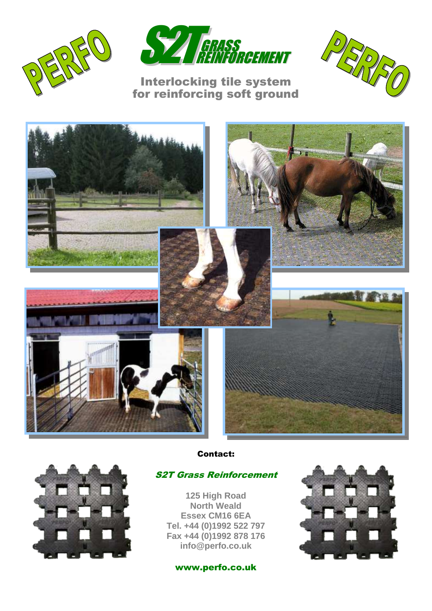



## Interlocking tile system for reinforcing soft ground







Contact:

## S2T Grass Reinforcement

**125 High Road North Weald Essex CM16 6EA Tel. +44 (0)1992 522 797 Fax +44 (0)1992 878 176 info@perfo.co.uk**

www.perfo.co.uk